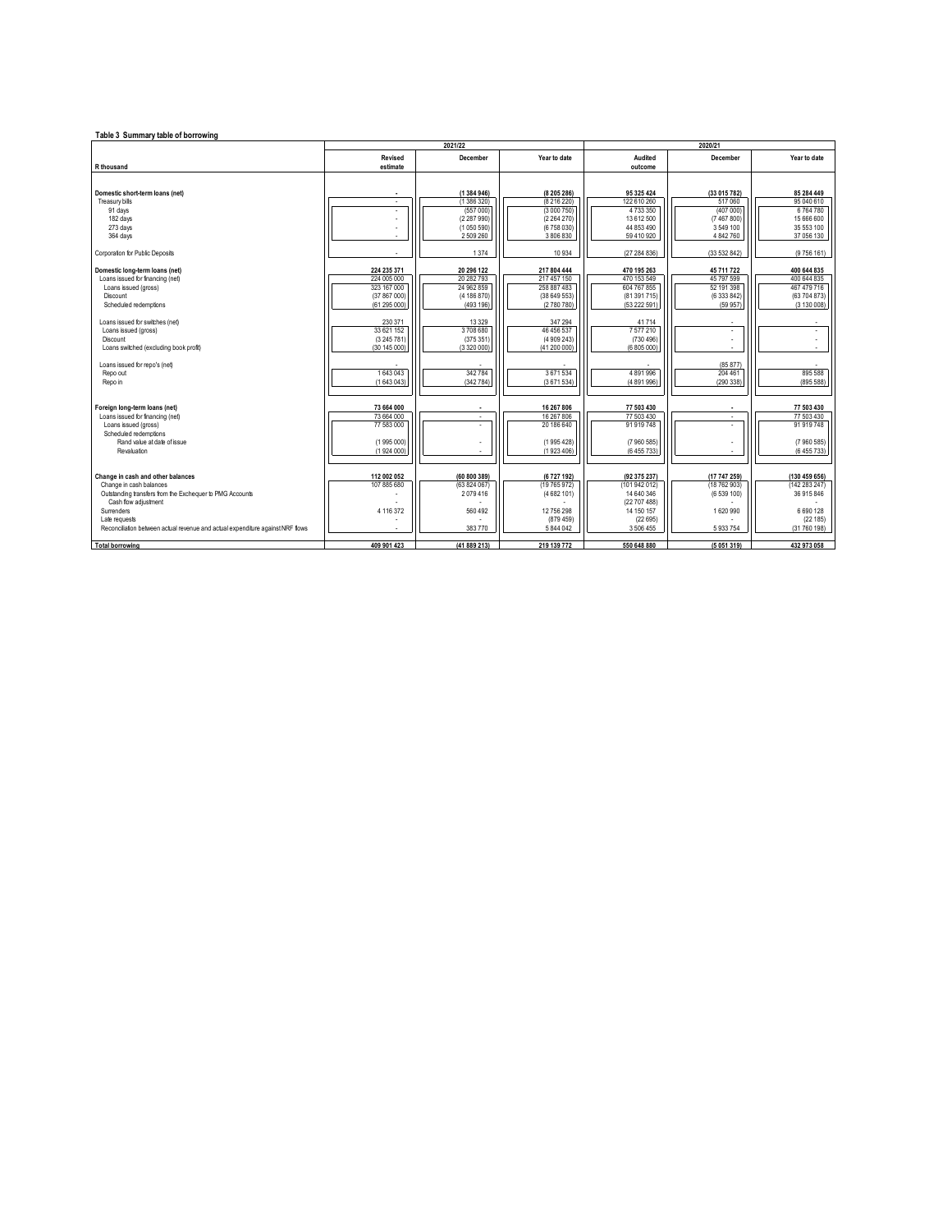| Table 3 Summary table of borrowing                                             |                |                         |                          |                           |                         |               |  |
|--------------------------------------------------------------------------------|----------------|-------------------------|--------------------------|---------------------------|-------------------------|---------------|--|
|                                                                                | 2021/22        |                         |                          | 2020/21                   |                         |               |  |
|                                                                                | <b>Revised</b> | December                | Year to date             | Audited                   | December                | Year to date  |  |
| R thousand                                                                     | estimate       |                         |                          | outcome                   |                         |               |  |
|                                                                                |                |                         |                          |                           |                         |               |  |
|                                                                                |                |                         |                          |                           |                         | 85 284 449    |  |
| Domestic short-term loans (net)<br>Treasury bills                              | $\blacksquare$ | (1384 946)<br>(1386320) | (8 205 286)<br>(8216220) | 95 325 424<br>122 610 260 | (33 015 782)<br>517 060 | 95 040 610    |  |
| 91 days                                                                        | ٠              | (557000)                | (3 000 750)              | 4733350                   | (407 000)               | 6764780       |  |
| 182 days                                                                       |                |                         |                          | 13 612 500                |                         | 15 666 600    |  |
|                                                                                |                | (2287990)               | (2264270)                |                           | (7 467 800)             |               |  |
| 273 days                                                                       |                | (1050590)               | (6758030)                | 44 853 490                | 3 549 100               | 35 553 100    |  |
| 364 days                                                                       |                | 2509260                 | 3806830                  | 59 410 920                | 4 842 760               | 37 056 130    |  |
| Corporation for Public Deposits                                                |                | 1 3 7 4                 | 10 934                   | (27284836)                | (33 532 842)            | (9756161)     |  |
| Domestic long-term loans (net)                                                 | 224 235 371    | 20 296 122              | 217 804 444              | 470 195 263               | 45 711 722              | 400 644 835   |  |
| Loans issued for financing (net)                                               | 224 005 000    | 20 282 793              | 217 457 150              | 470 153 549               | 45 797 599              | 400 644 835   |  |
| Loans issued (gross)                                                           | 323 167 000    | 24 962 859              | 258 887 483              | 604 767 855               | 52 191 398              | 467 479 716   |  |
| Discount                                                                       | (37 867 000)   | (4 186 870)             | (38649553)               | (81 391 715)              | (6 333 842)             | (63 704 873)  |  |
| Scheduled redemptions                                                          | (61295000)     | (493 196)               | (2780780)                | (53 222 591)              | (59957)                 | (3 130 008)   |  |
|                                                                                |                |                         |                          |                           |                         |               |  |
| Loans issued for switches (net)                                                | 230 371        | 13 3 29                 | 347 294                  | 41714                     |                         |               |  |
| Loans issued (gross)                                                           | 33 621 152     | 3708680                 | 46 456 537               | 7577210                   | ÷,                      |               |  |
| Discount                                                                       | (3245781)      | (375351)                | (4 909 243)              | (730, 496)                |                         |               |  |
| Loans switched (excluding book profit)                                         | (30145000)     | (3320000)               | (41 200 000)             | (6805000)                 |                         | ä,            |  |
|                                                                                |                |                         |                          |                           |                         |               |  |
| Loans issued for repo's (net)                                                  |                |                         |                          |                           | (85877)                 |               |  |
| Repo out                                                                       | 1643043        | 342784                  | 3671534                  | 4 891 996                 | 204 461                 | 895 588       |  |
| Repo in                                                                        | (1643043)      | (342784)                | (3671534)                | (4 891 996)               | (290338)                | (895588)      |  |
|                                                                                |                |                         |                          |                           |                         |               |  |
| Foreign long-term loans (net)                                                  | 73 664 000     |                         | 16 267 806               | 77 503 430                |                         | 77 503 430    |  |
| Loans issued for financing (net)                                               | 73 664 000     | ÷.                      | 16 267 806               | 77 503 430                | à,                      | 77 503 430    |  |
| Loans issued (gross)                                                           | 77 583 000     |                         | 20 186 640               | 91 919 748                |                         | 91919748      |  |
| Scheduled redemptions                                                          |                |                         |                          |                           |                         |               |  |
| Rand value at date of issue                                                    | (1995 000)     |                         | (1995 428)               | (7 960 585)               |                         | (7960585)     |  |
| Revaluation                                                                    | (1924000)      |                         | (1923406)                | (6 455 733)               |                         | (6 455 733)   |  |
|                                                                                |                |                         |                          |                           |                         |               |  |
| Change in cash and other balances                                              | 112 002 052    | (60 800 389)            | (6727 192)               | (92 375 237)              | (17 747 259)            | (130 459 656) |  |
| Change in cash balances                                                        | 107 885 680    | (63824067)              | (19 765 972)             | (101 942 012)             | (18 762 903)            | (142283247)   |  |
| Outstanding transfers from the Exchequer to PMG Accounts                       |                | 2079416                 | (4682 101)               | 14 640 346                | (6 539 100)             | 36 915 846    |  |
| Cash flow adjustment                                                           |                |                         |                          | (22 707 488)              |                         |               |  |
| Surrenders                                                                     | 4 116 372      | 560 492                 | 12 756 298               | 14 150 157                | 1620990                 | 6690128       |  |
| Late requests                                                                  |                |                         | (879.459)                | (22695)                   |                         | (22185)       |  |
| Reconciliation between actual revenue and actual expenditure against NRF flows |                | 383770                  | 5844042                  | 3 506 455                 | 5933754                 | (31 760 198)  |  |
|                                                                                |                |                         |                          |                           |                         |               |  |
| <b>Total borrowing</b>                                                         | 409 901 423    | (41 889 213)            | 219 139 772              | 550 648 880               | (5051319)               | 432 973 058   |  |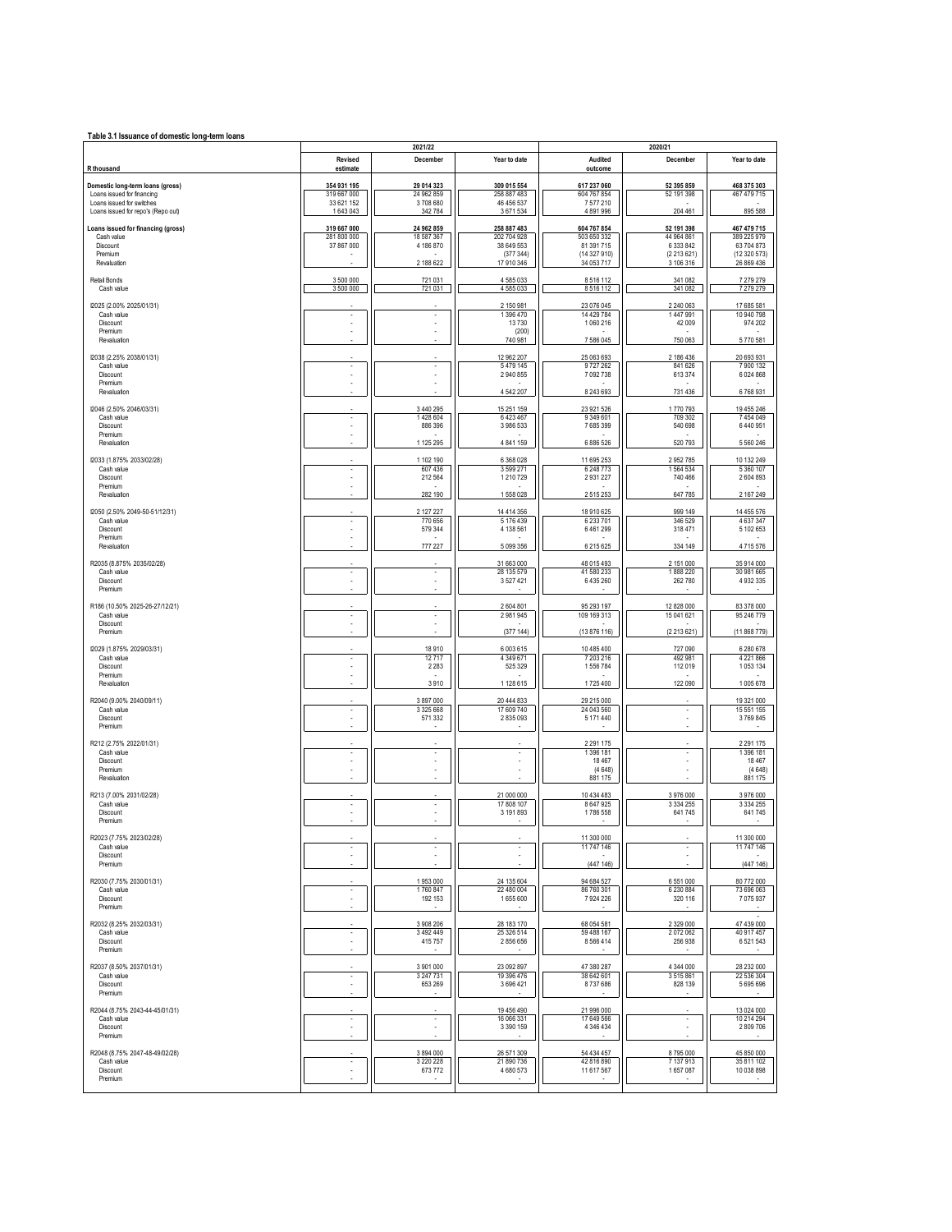| Table 3.1 Issuance of domestic long-term loans                                                                                    |                                                     |                                                    |                                                                    |                                                                      |                                                                     |                                                                        |
|-----------------------------------------------------------------------------------------------------------------------------------|-----------------------------------------------------|----------------------------------------------------|--------------------------------------------------------------------|----------------------------------------------------------------------|---------------------------------------------------------------------|------------------------------------------------------------------------|
| R thousand                                                                                                                        | Revised<br>estimate                                 | 2021/22<br>December                                | Year to date                                                       | Audited<br>outcome                                                   | 2020/21<br>December                                                 | Year to date                                                           |
| Domestic long-term loans (gross)<br>Loans issued for financing<br>Loans issued for switches<br>Loans issued for repo's (Repo out) | 354 931 195<br>319 667 000<br>33 621 152<br>1643043 | 29 014 323<br>24 962 859<br>3708680<br>342 784     | 309 015 554<br>258 887 483<br>46 456 537<br>3671534                | 617 237 060<br>604 767 854<br>7577210<br>4891996                     | 52 395 859<br>52 191 398<br>204 461                                 | 468 375 303<br>467 479 715<br>895 588                                  |
| Loans issued for financing (gross)<br>Cash value<br>Discount<br>Premium<br>Revaluation                                            | 319 667 000<br>281 800 000<br>37 867 000            | 24 962 859<br>18 587 367<br>4 186 870<br>2 188 622 | 258 887 483<br>202 704 928<br>38 649 553<br>(377344)<br>17 910 346 | 604 767 854<br>503 650 332<br>81 391 715<br>(14327910)<br>34 053 717 | 52 191 398<br>44 964 861<br>6 3 3 3 8 4 2<br>(2213621)<br>3 106 316 | 467 479 715<br>389 225 979<br>63 704 873<br>(12 320 573)<br>26 869 436 |
| Retail Bonds<br>Cash value                                                                                                        | 3 500 000<br>3 500 000                              | 721 031<br>721 031                                 | 4585033<br>4585033                                                 | 8516112<br>8516112                                                   | 341 082<br>341 082                                                  | 7279279<br>7279279                                                     |
| I2025 (2.00% 2025/01/31)<br>Cash value<br>Discount<br>Premium<br>Revaluation                                                      |                                                     | ł<br>×                                             | 2 150 981<br>1 396 470<br>13730<br>(200)<br>740 981                | 23 076 045<br>14 429 784<br>1060216<br>7586045                       | 2 240 063<br>1447991<br>42 009<br>750 063                           | 17 685 581<br>10 940 798<br>974 202<br>5770581                         |
| I2038 (2.25% 2038/01/31)<br>Cash value<br>Discount<br>Premium<br>Revaluation                                                      | ٠                                                   | ×,<br>×                                            | 12 962 207<br>5479145<br>2 940 855<br>4542207                      | 25 063 693<br>9727262<br>7 092 738<br>8 243 693                      | 2 186 436<br>841 626<br>613 374<br>731 436                          | 20 693 931<br>7900132<br>6024868<br>6768931                            |
| I2046 (2.50% 2046/03/31)<br>Cash value<br>Discount<br>Premium<br>Revaluation                                                      | ٠                                                   | 3 440 295<br>1428 604<br>886 396<br>1 125 295      | 15 251 159<br>6423467<br>3 986 533<br>4 841 159                    | 23 921 526<br>9 349 601<br>7685399<br>6 886 526                      | 1770793<br>709 302<br>540 698<br>520 793                            | 19 455 246<br>7454049<br>6440951<br>5560246                            |
| I2033 (1.875% 2033/02/28)<br>Cash value<br>Discount<br>Premium<br>Revaluation                                                     | $\overline{\phantom{a}}$                            | 1 102 190<br>607 436<br>212 564<br>282 190         | 6 3 68 0 28<br>3 599 271<br>1210729<br>1558028                     | 11 695 253<br>6 248 773<br>2931227<br>2515253                        | 2952785<br>1564534<br>740 466<br>647 785                            | 10 132 249<br>5360107<br>2604893<br>2 167 249                          |
| I2050 (2.50% 2049-50-51/12/31)<br>Cash value<br>Discount<br>Premium<br>Revaluation                                                | $\overline{\phantom{a}}$                            | 2 127 227<br>770 656<br>579 344<br>777 227         | 14 414 356<br>5 176 439<br>4 138 561<br>5 0 9 3 3 5 6              | 18 910 625<br>6 233 701<br>6461299<br>6 215 6 25                     | 999 149<br>346 529<br>318 471<br>334 149                            | 14 455 576<br>4637347<br>5 102 653<br>4715576                          |
| R2035 (8.875% 2035/02/28)<br>Cash value<br>Discount<br>Premium                                                                    | $\overline{\phantom{a}}$                            | $\overline{\phantom{a}}$                           | 31 663 000<br>28 135 579<br>3527421                                | 48 015 493<br>41 580 233<br>6 435 260                                | 2 151 000<br>1888 220<br>262 780                                    | 35 914 000<br>30 981 665<br>4932335                                    |
| R186 (10.50% 2025-26-27/12/21)<br>Cash value<br>Discount<br>Premium                                                               |                                                     | $\overline{\phantom{a}}$<br>ä,                     | 2 604 801<br>2981945<br>(377144)                                   | 95 293 197<br>109 169 313<br>(13 876 116)                            | 12 828 000<br>15 041 621<br>(2213621)                               | 83 378 000<br>95 246 779<br>(11868779)                                 |
| I2029 (1.875% 2029/03/31)<br>Cash value<br>Discount<br>Premium<br>Revaluation                                                     |                                                     | 18910<br>12717<br>2 2 8 3<br>3910                  | 6 003 615<br>4 349 671<br>525 329<br>1 128 615                     | 10 485 400<br>7 203 216<br>1556784<br>1725 400                       | 727 090<br>492 981<br>112 019<br>122 090                            | 6 280 678<br>4 2 2 1 8 6 6<br>1053134<br>1005678                       |
| R2040 (9.00% 2040/09/11)<br>Cash value<br>Discount<br>Premium                                                                     | $\overline{\phantom{a}}$                            | 3 897 000<br>3 3 2 5 6 6 8<br>571 332              | 20 444 833<br>17 609 740<br>2835093                                | 29 215 000<br>24 043 560<br>5 171 440                                | ٠                                                                   | 19 321 000<br>15 551 155<br>3769845                                    |
| R212 (2.75% 2022/01/31)<br>Cash value<br>Discount<br>Premium<br>Revaluation                                                       |                                                     | $\overline{\phantom{a}}$<br>ä,                     |                                                                    | 2 2 9 1 1 7 5<br>1 396 181<br>18 467<br>(4648)<br>881 175            |                                                                     | 2 2 9 1 1 7 5<br>1396 181<br>18 4 67<br>(4648)<br>881 175              |
| R213 (7.00% 2031/02/28)<br>Cash value<br>Discount<br>Premium                                                                      |                                                     |                                                    | 21 000 000<br>17 808 107<br>3 191 893                              | 10 434 483<br>8 647 925<br>1786 558                                  | 3976000<br>3 3 3 4 2 5 5<br>641745                                  | 3976000<br>3 3 3 4 2 5 5<br>641745                                     |
| R2023 (7.75% 2023/02/28)<br>Cash value<br>Discount<br>Premium                                                                     | $\overline{\phantom{a}}$                            | $\overline{\phantom{a}}$                           | ×                                                                  | 11 300 000<br>11 747 146<br>(447146)                                 | 6551000                                                             | 11 300 000<br>11 747 146<br>(447146)                                   |
| R2030 (7.75% 2030/01/31)<br>Cash value<br>Discount<br>Premium<br>R2032 (8.25% 2032/03/31)                                         | $\overline{\phantom{a}}$                            | 1953000<br>1760 847<br>192 153<br>3 908 206        | 24 135 604<br>22 480 004<br>1655600<br>28 183 170                  | 94 684 527<br>86 760 301<br>7924226<br>68 054 581                    | 6 2 3 0 8 8 4<br>320 116<br>2 3 2 9 0 0 0                           | 80 772 000<br>73 696 063<br>7075937<br>47 439 000                      |
| Cash value<br>Discount<br>Premium<br>R2037 (8.50% 2037/01/31)                                                                     |                                                     | 3 4 9 2 4 4 9<br>415 757<br>3 901 000              | 25 326 514<br>2856656<br>23 092 897                                | 59 488 167<br>8566414<br>47 380 287                                  | 2072062<br>256 938<br>4 344 000                                     | 40 917 457<br>6521543<br>28 232 000                                    |
| Cash value<br>Discount<br>Premium<br>R2044 (8.75% 2043-44-45/01/31)                                                               | $\overline{\phantom{a}}$                            | 3 247 731<br>653 269                               | 19 396 476<br>3696421<br>19 456 490                                | 38 642 601<br>8737686<br>21 996 000                                  | 3515861<br>828 139                                                  | 22 536 304<br>5695696<br>13 024 000                                    |
| Cash value<br>Discount<br>Premium<br>R2048 (8.75% 2047-48-49/02/28)                                                               |                                                     | ×,<br>3 894 000                                    | 16 066 331<br>3 3 9 1 1 5 9<br>26 571 309                          | 17 649 566<br>4 346 434<br>54 434 457                                | 8795000                                                             | 10 214 294<br>2809706<br>45 850 000                                    |
| Cash value<br>Discount<br>Premium                                                                                                 | $\overline{\phantom{a}}$                            | 3 2 2 0 2 2 8<br>673772                            | 21 890 736<br>4 680 573                                            | 42 816 890<br>11 617 567                                             | 7137913<br>1657087                                                  | 35 811 102<br>10 038 898                                               |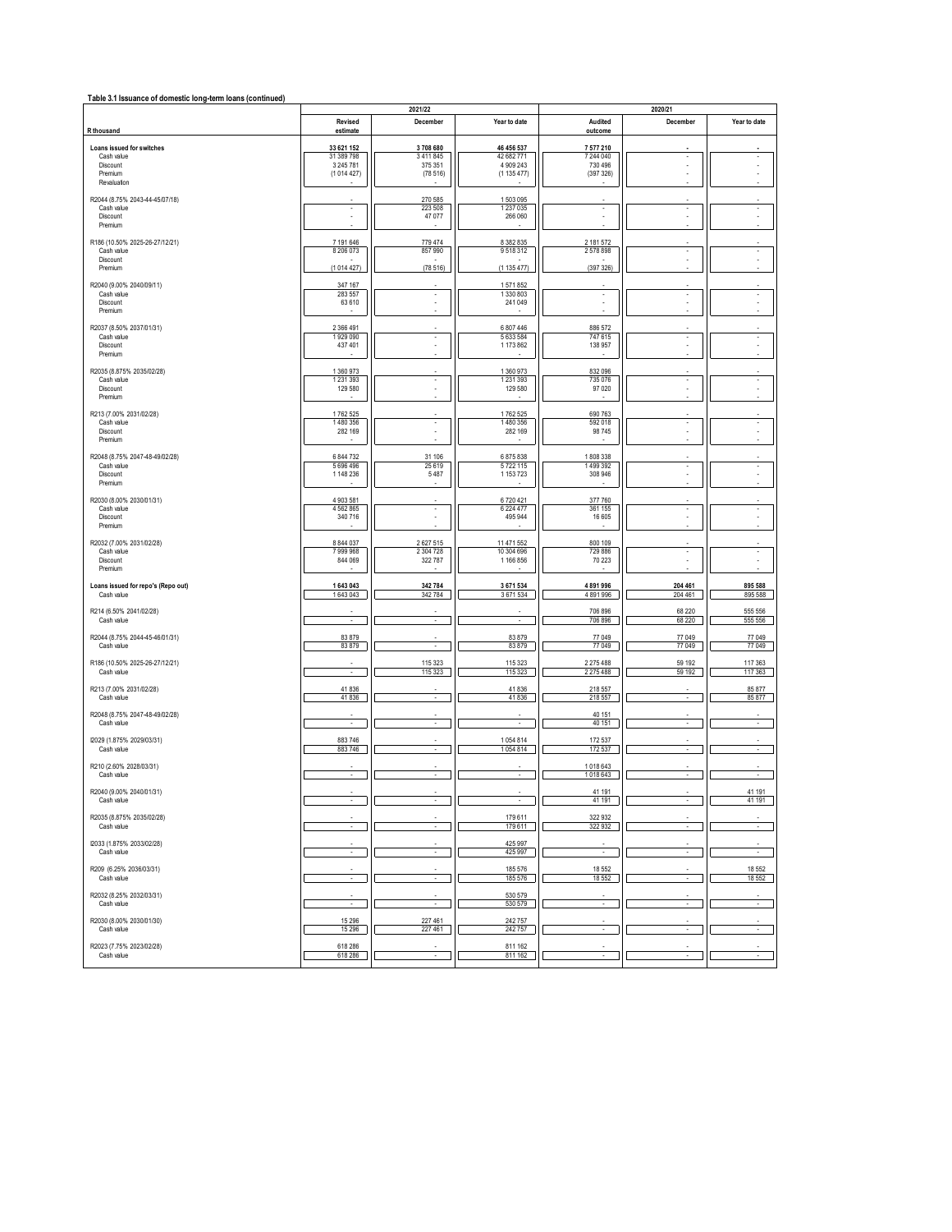| Table 3.1 Issuance of domestic long-term loans (continued) |                          | 2021/22                       |                          | 2020/21                  |                                |                          |  |
|------------------------------------------------------------|--------------------------|-------------------------------|--------------------------|--------------------------|--------------------------------|--------------------------|--|
| R thousand                                                 | Revised<br>estimate      | December                      | Year to date             | Audited<br>outcome       | December                       | Year to date             |  |
| Loans issued for switches                                  | 33 621 152               | 3708680                       | 46 456 537               | 7 577 210                |                                |                          |  |
| Cash value                                                 | 31 389 798               | 3 4 1 1 8 4 5                 | 42 682 771               | 7 244 040                |                                |                          |  |
| Discount<br>Premium                                        | 3 245 781<br>(1014427)   | 375 351<br>(78516)            | 4 909 243<br>(1135477)   | 730 496<br>(397326)      | ×,<br>×,                       |                          |  |
| Revaluation                                                |                          |                               |                          |                          |                                |                          |  |
| R2044 (8.75% 2043-44-45/07/18)<br>Cash value               | $\overline{\phantom{a}}$ | 270 585                       | 1503095                  | $\cdot$                  | $\overline{\phantom{a}}$       | $\sim$                   |  |
| Discount                                                   |                          | 223 508<br>47 077             | 1 237 0 35<br>266 060    |                          |                                |                          |  |
| Premium                                                    |                          |                               |                          |                          |                                |                          |  |
| R186 (10.50% 2025-26-27/12/21)<br>Cash value               | 7 191 646<br>8 206 073   | 779 474<br>857 990            | 8 382 835<br>9518312     | 2 181 572<br>2578898     | ٠                              | $\overline{\phantom{a}}$ |  |
| Discount<br>Premium                                        | (1014427)                |                               | (1135477)                |                          |                                |                          |  |
|                                                            |                          | (78516)                       |                          | (397326)                 |                                |                          |  |
| R2040 (9.00% 2040/09/11)<br>Cash value                     | 347 167<br>283 557       | $\overline{\phantom{a}}$      | 1571852<br>1330803       | $\overline{\phantom{a}}$ | $\overline{\phantom{a}}$       |                          |  |
| Discount<br>Premium                                        | 63 610                   | ٠                             | 241049                   | ×                        | ×,                             |                          |  |
| R2037 (8.50% 2037/01/31)                                   | 2 366 491                |                               | 6 807 446                |                          |                                |                          |  |
| Cash value                                                 | 1929 090                 | ×                             | 5 633 584                | 886 572<br>747 615       | ÷                              |                          |  |
| Discount<br>Premium                                        | 437 401                  | ł,<br>Î.                      | 1173862                  | 138 957                  | ä,                             |                          |  |
| R2035 (8.875% 2035/02/28)                                  | 1 360 973                |                               | 1 360 973                | 832 096                  |                                |                          |  |
| Cash value<br>Discount                                     | 1 2 3 1 3 9 3<br>129 580 | ×                             | 1 2 3 1 3 9 3<br>129 580 | 735 076<br>97 0 20       | ٠                              |                          |  |
| Premium                                                    |                          |                               |                          |                          |                                |                          |  |
| R213 (7.00% 2031/02/28)                                    | 1762 525                 |                               | 1762 525                 | 690 763                  |                                |                          |  |
| Cash value<br>Discount                                     | 1480 356<br>282 169      | $\cdot$<br>Î.                 | 1480 356<br>282 169      | 592 018<br>98745         | $\overline{\phantom{a}}$<br>ä, | $\alpha$                 |  |
| Premium                                                    |                          |                               |                          |                          |                                |                          |  |
| R2048 (8.75% 2047-48-49/02/28)                             | 6 844 732                | 31 106                        | 6875838                  | 1808338                  |                                |                          |  |
| Cash value<br>Discount                                     | 5 696 496<br>1 148 236   | 25 6 19<br>5487               | 5722115<br>1 153 723     | 1499392<br>308 946       | $\overline{\phantom{a}}$       | $\overline{\phantom{a}}$ |  |
| Premium                                                    |                          |                               |                          |                          |                                |                          |  |
| R2030 (8.00% 2030/01/31)                                   | 4 903 581                |                               | 6720421                  | 377 760                  |                                |                          |  |
| Cash value<br>Discount                                     | 4 5 6 2 8 6 5<br>340 716 | $\overline{\phantom{a}}$<br>٠ | 6 2 2 4 4 7 7<br>495 944 | 361 155<br>16 605        | ×,                             |                          |  |
| Premium                                                    |                          |                               |                          |                          |                                |                          |  |
| R2032 (7.00% 2031/02/28)<br>Cash value                     | 8 844 037<br>7999968     | 2627515<br>2 304 728          | 11 471 552<br>10 304 696 | 800 109<br>729 886       | i,                             | ٠                        |  |
| Discount<br>Premium                                        | 844 069                  | 322 787                       | 1166856                  | 70 223                   |                                | ×                        |  |
|                                                            |                          |                               |                          |                          |                                |                          |  |
| Loans issued for repo's (Repo out)<br>Cash value           | 1643043<br>1643043       | 342784<br>342784              | 3 671 534<br>3671534     | 4891996<br>4891996       | 204 461<br>204 461             | 895 588<br>895 588       |  |
| R214 (6.50% 2041/02/28)                                    |                          |                               |                          | 706 896                  | 68 220                         | 555 556                  |  |
| Cash value                                                 | ×                        | $\sim$                        | ×.                       | 706 896                  | 68 2 20                        | 555 556                  |  |
| R2044 (8.75% 2044-45-46/01/31)                             | 83 879                   | $\epsilon$                    | 83879                    | 77 049                   | 77 049                         | 77 049                   |  |
| Cash value                                                 | 83879                    |                               | 83879                    | 77 049                   | 77 049                         | 77 049                   |  |
| R186 (10.50% 2025-26-27/12/21)<br>Cash value               |                          | 115 323<br>115 323            | 115 323<br>115 3 23      | 2 275 488<br>2 275 488   | 59 192<br>59 192               | 117 363<br>117 363       |  |
| R213 (7.00% 2031/02/28)                                    | 41836                    |                               | 41836                    | 218 557                  |                                | 85 877                   |  |
| Cash value                                                 | 41836                    | $\overline{\phantom{a}}$      | 41836                    | 218 557                  | $\overline{\phantom{a}}$       | 85 877                   |  |
| R2048 (8.75% 2047-48-49/02/28)                             |                          |                               |                          | 40 151                   |                                |                          |  |
| Cash value                                                 |                          |                               |                          | 40 151                   |                                |                          |  |
| I2029 (1.875% 2029/03/31)<br>Cash value                    | 883746<br>883746         | $\cdot$                       | 1054814<br>1054814       | 172 537<br>172 537       | ×,                             |                          |  |
| R210 (2.60% 2028/03/31)                                    |                          |                               |                          | 1018643                  |                                |                          |  |
| Cash value                                                 |                          |                               |                          | 1018643                  |                                |                          |  |
| R2040 (9.00% 2040/01/31)                                   |                          |                               |                          | 41 191                   |                                | 41 191                   |  |
| Cash value                                                 |                          |                               |                          | 41 191                   |                                | 41 191                   |  |
| R2035 (8.875% 2035/02/28)<br>Cash value                    | $\sim$                   | $\sim$                        | 179611<br>179611         | 322 932<br>322 932       | ×.                             | $\sim$                   |  |
| I2033 (1.875% 2033/02/28)                                  |                          |                               | 425 997                  |                          |                                |                          |  |
| Cash value                                                 | ×.                       | $\sim$                        | 425 997                  | $\overline{\phantom{a}}$ | ÷                              | $\sim$                   |  |
| R209 (6.25% 2036/03/31)                                    |                          |                               | 185576                   | 18 552                   |                                | 18 5 52                  |  |
| Cash value                                                 |                          |                               | 185576                   | 18 552                   |                                | 18 552                   |  |
| R2032 (8.25% 2032/03/31)<br>Cash value                     | $\sim$                   | ٠                             | 530 579<br>530 579       | $\epsilon$               | ×,                             | $\epsilon$               |  |
|                                                            |                          |                               |                          |                          |                                |                          |  |
| R2030 (8.00% 2030/01/30)<br>Cash value                     | 15 29 6<br>15 29 6       | 227 461<br>227 461            | 242757<br>242757         |                          |                                |                          |  |
| R2023 (7.75% 2023/02/28)                                   | 618 286                  |                               | 811 162                  |                          |                                |                          |  |
| Cash value                                                 | 618 286                  |                               | 811 162                  |                          |                                |                          |  |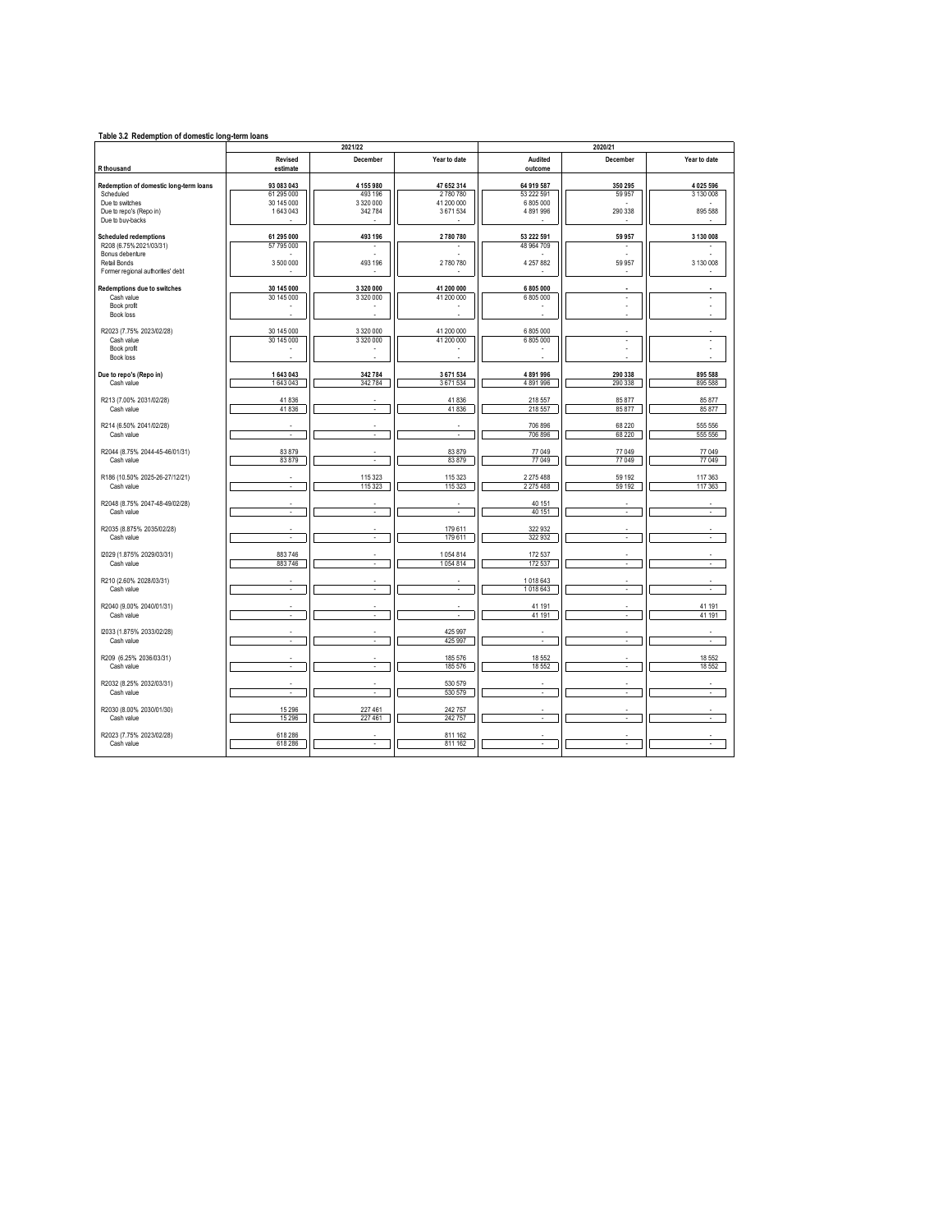| Table 3.2 Redemption of domestic long-term loans |                          |                      |                       |                       |            |               |  |  |
|--------------------------------------------------|--------------------------|----------------------|-----------------------|-----------------------|------------|---------------|--|--|
|                                                  |                          | 2021/22              |                       | 2020/21               |            |               |  |  |
| R thousand                                       | Revised<br>estimate      | December             | Year to date          | Audited<br>outcome    | December   | Year to date  |  |  |
|                                                  |                          |                      |                       |                       |            |               |  |  |
| Redemption of domestic long-term loans           | 93 083 043               | 4 155 980            | 47 652 314            | 64 919 587            | 350 295    | 4025596       |  |  |
| Scheduled<br>Due to switches                     | 61 295 000<br>30 145 000 | 493 196<br>3 320 000 | 2780780<br>41 200 000 | 53 222 591<br>6805000 | 59 957     | 3 1 3 0 0 0 8 |  |  |
| Due to repo's (Repo in)                          | 1643043                  | 342 784              | 3671534               | 4891996               | 290 338    | 895 588       |  |  |
| Due to buy-backs                                 |                          |                      |                       |                       |            |               |  |  |
| <b>Scheduled redemptions</b>                     | 61 295 000               | 493 196              | 2780780               | 53 222 591            | 59 957     | 3 130 008     |  |  |
| R208 (6.75% 2021/03/31)<br>Bonus debenture       | 57 795 000               |                      |                       | 48 964 709            |            |               |  |  |
| Retail Bonds                                     | 3 500 000                | 493 196              | 2780780               | 4 257 882             | 59 957     | 3 130 008     |  |  |
| Former regional authorities' debt                |                          |                      |                       |                       |            |               |  |  |
| Redemptions due to switches                      | 30 145 000               | 3 3 2 0 0 0 0        | 41 200 000            | 6 805 000             |            |               |  |  |
| Cash value                                       | 30 145 000               | 3 3 2 0 0 0 0        | 41 200 000            | 6 805 000             | $\epsilon$ | ÷.            |  |  |
| Book profit<br>Book loss                         |                          |                      |                       |                       | ä,<br>÷.   | ÷.            |  |  |
| R2023 (7.75% 2023/02/28)                         | 30 145 000               | 3 320 000            | 41 200 000            | 6 805 000             |            |               |  |  |
| Cash value                                       | 30 145 000               | 3 320 000            | 41 200 000            | 6805000               | ÷,         | ÷.            |  |  |
| Book profit                                      |                          |                      |                       |                       |            |               |  |  |
| Book loss                                        |                          |                      |                       |                       |            |               |  |  |
| Due to repo's (Repo in)                          | 1 643 043                | 342 784              | 3 671 534             | 4891996               | 290 338    | 895 588       |  |  |
| Cash value                                       | 1643043                  | 342 784              | 3671534               | 4891996               | 290 338    | 895 588       |  |  |
| R213 (7.00% 2031/02/28)                          | 41836                    |                      | 41836                 | 218 557               | 85 877     | 85 877        |  |  |
| Cash value                                       | 41836                    | ÷                    | 41836                 | 218 557               | 85 877     | 85 877        |  |  |
| R214 (6.50% 2041/02/28)                          |                          |                      |                       | 706 896               | 68 220     | 555 556       |  |  |
| Cash value                                       | ä,                       |                      |                       | 706 896               | 68 220     | 555 556       |  |  |
| R2044 (8.75% 2044-45-46/01/31)                   | 83879                    |                      | 83879                 | 77 049                | 77 049     | 77 049        |  |  |
| Cash value                                       | 83879                    |                      | 83879                 | 77049                 | 77 049     | 77 049        |  |  |
| R186 (10.50% 2025-26-27/12/21)                   |                          | 115 323              | 115 323               | 2 275 488             | 59 192     | 117 363       |  |  |
| Cash value                                       | ä,                       | 115 323              | 115 323               | 2 2 7 5 4 8 8         | 59 192     | 117 363       |  |  |
|                                                  |                          |                      |                       |                       |            |               |  |  |
| R2048 (8.75% 2047-48-49/02/28)<br>Cash value     | $\sim$                   | $\sim$               | $\sim$                | 40 151<br>40 151      | $\sim$     | $\sim$        |  |  |
|                                                  |                          |                      |                       |                       |            |               |  |  |
| R2035 (8.875% 2035/02/28)<br>Cash value          | $\epsilon$               | $\epsilon$           | 179 611<br>179611     | 322932<br>322932      | $\epsilon$ | ÷.            |  |  |
|                                                  |                          |                      |                       |                       |            |               |  |  |
| I2029 (1.875% 2029/03/31)                        | 883746                   | ÷                    | 1054814               | 172537                | ÷,         | ÷.            |  |  |
| Cash value                                       | 883746                   |                      | 1054814               | 172537                |            |               |  |  |
| R210 (2.60% 2028/03/31)                          |                          |                      |                       | 1018643               |            |               |  |  |
| Cash value                                       | ÷                        | ÷                    | ÷                     | 1018643               | ÷          | à.            |  |  |
| R2040 (9.00% 2040/01/31)                         |                          |                      |                       | 41 191                |            | 41 191        |  |  |
| Cash value                                       | ä,                       |                      |                       | 41 191                | ä,         | 41 191        |  |  |
| I2033 (1.875% 2033/02/28)                        |                          |                      | 425 997               |                       | ä,         |               |  |  |
| Cash value                                       | $\epsilon$               | ٠                    | 425 997               | ÷.                    | $\epsilon$ | ×,            |  |  |
| R209 (6.25% 2036/03/31)                          |                          |                      | 185 576               | 18 5 52               | ×,         | 18 5 52       |  |  |
| Cash value                                       | $\cdot$                  | $\epsilon$           | 185 576               | 18552                 | $\epsilon$ | 18 5 52       |  |  |
| R2032 (8.25% 2032/03/31)                         |                          |                      | 530 579               |                       |            |               |  |  |
| Cash value                                       | $\sim$                   | ÷                    | 530 579               | ÷                     | ÷          | ÷             |  |  |
| R2030 (8.00% 2030/01/30)                         | 15 29 6                  | 227 461              | 242 757               |                       |            |               |  |  |
| Cash value                                       | 15 29 6                  | 227 461              | 242757                |                       | J.         |               |  |  |
| R2023 (7.75% 2023/02/28)                         | 618 286                  |                      | 811 162               |                       |            |               |  |  |
| Cash value                                       | 618 286                  |                      | 811 162               |                       |            |               |  |  |
|                                                  |                          |                      |                       |                       |            |               |  |  |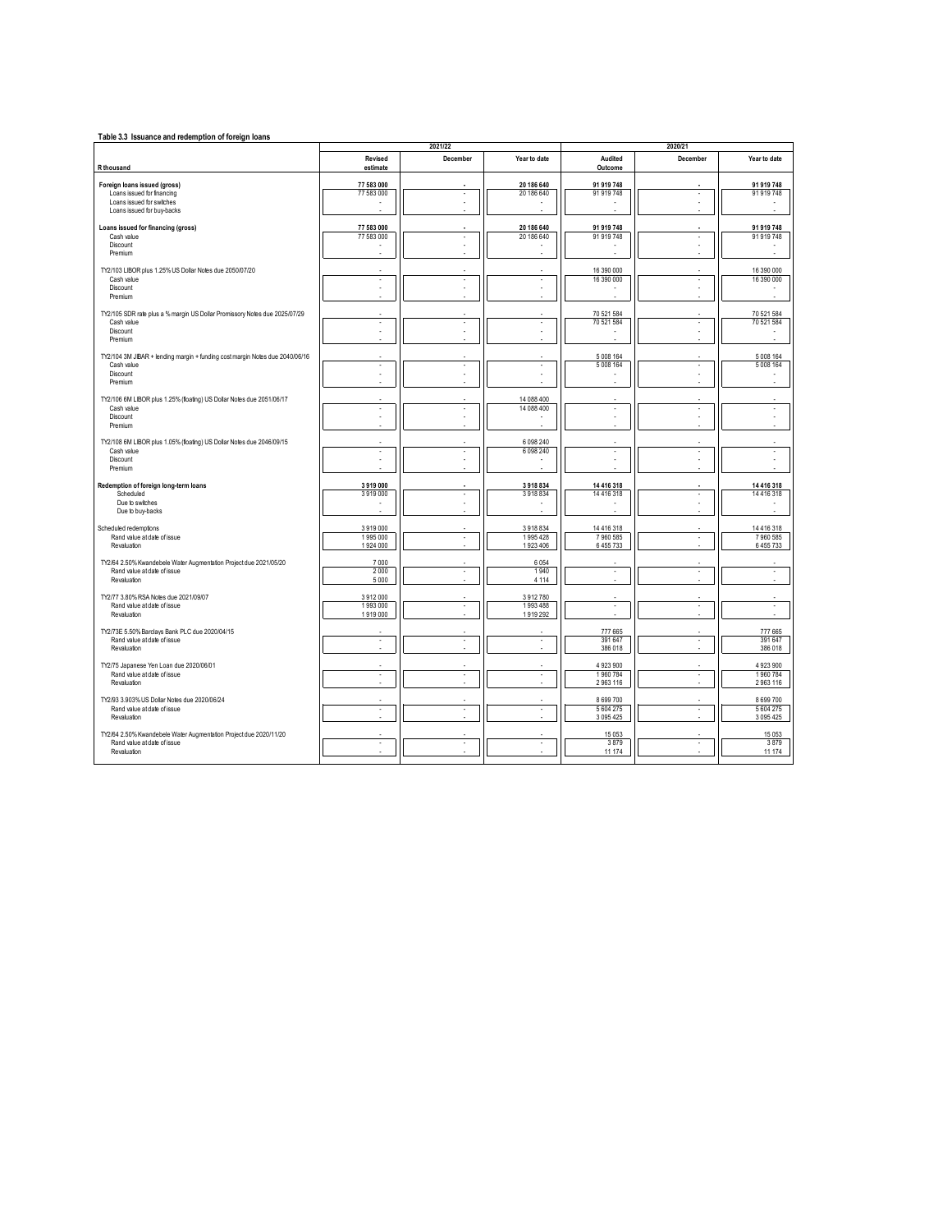| Table 3.3 Issuance and redemption of foreign loans                                               |                      | 2021/22                  |                              |                          | 2020/21                  |                          |
|--------------------------------------------------------------------------------------------------|----------------------|--------------------------|------------------------------|--------------------------|--------------------------|--------------------------|
|                                                                                                  | Revised              | December                 | Year to date                 | Audited                  | December                 | Year to date             |
| R thousand                                                                                       | estimate             |                          |                              | Outcome                  |                          |                          |
| Foreign loans issued (gross)                                                                     | 77 583 000           |                          | 20 186 640                   | 91 919 748               |                          | 91 919 748               |
| Loans issued for financing                                                                       | 77 583 000           | ×.                       | 20 186 640                   | 91 919 748               |                          | 91 919 748               |
| Loans issued for switches<br>Loans issued for buv-backs                                          |                      |                          |                              |                          |                          |                          |
|                                                                                                  |                      |                          |                              |                          |                          |                          |
| Loans issued for financing (gross)                                                               | 77 583 000           |                          | 20 186 640                   | 91 919 748               |                          | 91 919 748               |
| Cash value<br>Discount                                                                           | 77 583 000           | ٠                        | 20 186 640                   | 91 919 748               | ×                        | 91 919 748               |
| Premium                                                                                          |                      |                          |                              |                          |                          |                          |
|                                                                                                  |                      |                          |                              |                          |                          |                          |
| TY2/103 LIBOR plus 1.25% US Dollar Notes due 2050/07/20<br>Cash value                            | ä,                   | ٠                        | ×                            | 16 390 000<br>16 390 000 | ×                        | 16 390 000<br>16 390 000 |
| Discount                                                                                         | ä,                   |                          |                              |                          |                          |                          |
| Premium                                                                                          |                      |                          |                              |                          |                          |                          |
| TY2/105 SDR rate plus a % margin US Dollar Promissory Notes due 2025/07/29                       |                      |                          |                              | 70 521 584               |                          | 70 521 584               |
| Cash value                                                                                       | ×,                   |                          |                              | 70 521 584               |                          | 70 521 584               |
| Discount<br>Premium                                                                              | ä,                   |                          |                              |                          |                          |                          |
|                                                                                                  |                      |                          |                              |                          |                          |                          |
| TY2/104 3M JIBAR + lending margin + funding cost margin Notes due 2040/06/16                     |                      |                          |                              | 5 008 164                |                          | 5 008 164                |
| Cash value                                                                                       | ×,<br>×.             | $\overline{\phantom{a}}$ | ÷.                           | 5 008 164                | ÷,                       | 5 008 164                |
| Discount<br>Premium                                                                              |                      |                          |                              |                          |                          |                          |
|                                                                                                  |                      |                          |                              |                          |                          |                          |
| TY2/106 6M LIBOR plus 1.25% (foating) US Dollar Notes due 2051/06/17                             |                      |                          | 14 088 400                   |                          |                          |                          |
| Cash value<br>Discount                                                                           | ×,                   | ×,                       | 14 088 400                   | ×,<br>ł,                 |                          | ×,                       |
| Premium                                                                                          |                      |                          |                              |                          |                          |                          |
|                                                                                                  |                      |                          |                              |                          |                          |                          |
| TY2/108 6M LIBOR plus 1.05% (foating) US Dollar Notes due 2046/09/15<br>Cash value               | ä,                   |                          | 6 0 98 2 40<br>6 0 9 8 2 4 0 | Î.                       |                          |                          |
| Discount                                                                                         |                      |                          |                              |                          |                          |                          |
| Premium                                                                                          |                      |                          |                              | ×,                       |                          |                          |
| Redemption of foreign long-term loans                                                            | 3919000              |                          | 3918834                      | 14 416 318               |                          | 14 416 318               |
| Scheduled                                                                                        | 3919000              |                          | 3918834                      | 14 4 16 3 18             |                          | 14 4 16 3 18             |
| Due to switches<br>Due to buv-backs                                                              |                      |                          |                              |                          |                          |                          |
|                                                                                                  |                      |                          |                              |                          |                          |                          |
| Scheduled redemptions                                                                            | 3919000              |                          | 3918834                      | 14 416 318               |                          | 14 416 318               |
| Rand value at date of issue<br>Revaluation                                                       | 1995 000<br>1924 000 | ٠                        | 1995428<br>1923 406          | 7960585<br>6455733       | ×                        | 7960585<br>6455733       |
|                                                                                                  |                      |                          |                              |                          |                          |                          |
| TY2/64 2.50% Kwandebele Water Augmentation Project due 2021/05/20                                | 7000                 |                          | 6 0 5 4                      |                          |                          |                          |
| Rand value at date of issue<br>Revaluation                                                       | 2000<br>5 0 0 0      | ×                        | 1940<br>4 1 1 4              | $\sim$                   | $\overline{\phantom{a}}$ | $\sim$                   |
|                                                                                                  |                      |                          |                              |                          |                          |                          |
| TY2/77 3.80% RSA Notes due 2021/09/07                                                            | 3912000              |                          | 3912780                      |                          | - 1                      |                          |
| Rand value at date of issue<br>Revaluation                                                       | 1993000<br>1919000   | ×                        | 1993 488<br>1919292          | ×                        |                          | $\sim$                   |
|                                                                                                  |                      |                          |                              |                          |                          |                          |
| TY2/73E 5.50% Barclays Bank PLC due 2020/04/15<br>Rand value at date of issue                    | ÷,                   | ×,                       | $\overline{\phantom{a}}$     | 777 665<br>391 647       | ×                        | 777 665<br>391 647       |
| Revaluation                                                                                      | ÷                    |                          |                              | 386 018                  |                          | 386 018                  |
|                                                                                                  |                      |                          |                              |                          |                          |                          |
| TY2/75 Japanese Yen Loan due 2020/06/01<br>Rand value at date of issue                           | ×,                   | ×,                       | $\epsilon$                   | 4 923 900<br>1960784     | ×                        | 4 923 900<br>1960784     |
| Revaluation                                                                                      | J.                   |                          |                              | 2963116                  |                          | 2963116                  |
|                                                                                                  |                      |                          |                              |                          |                          |                          |
| TY2/93 3.903% US Dollar Notes due 2020/06/24<br>Rand value at date of issue                      | ä,                   | ×,                       | ÷,                           | 8 699 700<br>5 604 275   | ×,                       | 8 699 700<br>5 604 275   |
| Revaluation                                                                                      |                      |                          |                              | 3 095 425                |                          | 3 0 9 5 4 2 5            |
|                                                                                                  |                      |                          |                              |                          |                          |                          |
| TY2/64 2.50% Kwandebele Water Augmentation Project due 2020/11/20<br>Rand value at date of issue | í,                   |                          |                              | 15 0 53<br>3879          |                          | 15 0 53<br>3879          |
| Revaluation                                                                                      |                      |                          |                              | 11 174                   |                          | 11 174                   |
|                                                                                                  |                      |                          |                              |                          |                          |                          |